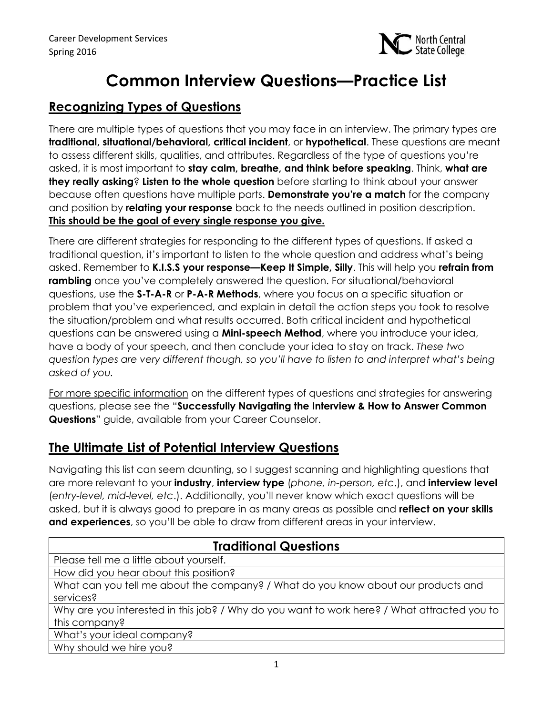

# **Common Interview Questions—Practice List**

# **Recognizing Types of Questions**

There are multiple types of questions that you may face in an interview. The primary types are **traditional, situational/behavioral, critical incident**, or **hypothetical**. These questions are meant to assess different skills, qualities, and attributes. Regardless of the type of questions you're asked, it is most important to **stay calm, breathe, and think before speaking**. Think, **what are they really asking**? **Listen to the whole question** before starting to think about your answer because often questions have multiple parts. **Demonstrate you're a match** for the company and position by **relating your response** back to the needs outlined in position description. **This should be the goal of every single response you give.**

There are different strategies for responding to the different types of questions. If asked a traditional question, it's important to listen to the whole question and address what's being asked. Remember to **K.I.S.S your response—Keep It Simple, Silly**. This will help you **refrain from rambling** once you've completely answered the question. For situational/behavioral questions, use the **S-T-A-R** or **P-A-R Methods**, where you focus on a specific situation or problem that you've experienced, and explain in detail the action steps you took to resolve the situation/problem and what results occurred. Both critical incident and hypothetical questions can be answered using a **Mini-speech Method**, where you introduce your idea, have a body of your speech, and then conclude your idea to stay on track. *These two question types are very different though, so you'll have to listen to and interpret what's being asked of you.*

For more specific information on the different types of questions and strategies for answering questions, please see the "**Successfully Navigating the Interview & How to Answer Common Questions**" guide, available from your Career Counselor.

# **The Ultimate List of Potential Interview Questions**

Navigating this list can seem daunting, so I suggest scanning and highlighting questions that are more relevant to your **industry**, **interview type** (*phone, in-person, etc*.), and **interview level** (*entry-level, mid-level, etc*.). Additionally, you'll never know which exact questions will be asked, but it is always good to prepare in as many areas as possible and **reflect on your skills and experiences**, so you'll be able to draw from different areas in your interview.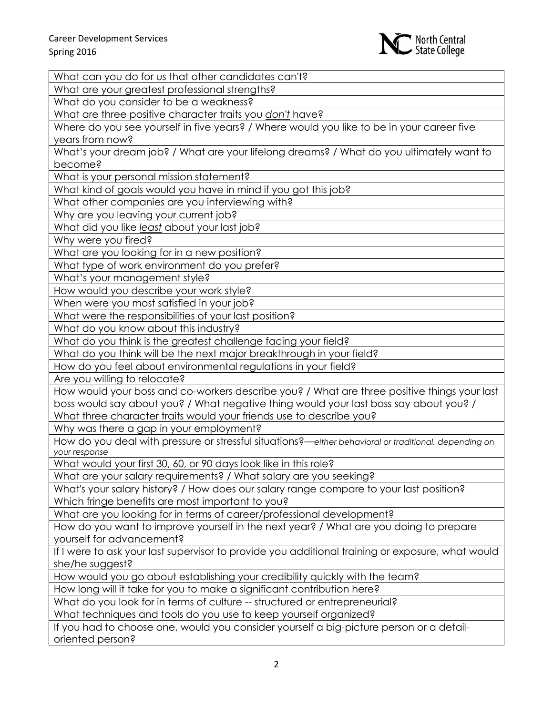

What can you do for us that other candidates can't?

What are your greatest professional strengths?

What do you consider to be a weakness?

What are three positive character traits you *don't* have?

Where do you see yourself in five years? / Where would you like to be in your career five years from now?

What's your dream job? / What are your lifelong dreams? / What do you ultimately want to become?

What is your personal mission statement?

What kind of goals would you have in mind if you got this job?

What other companies are you interviewing with?

Why are you leaving your current job?

What did you like *least* about your last job?

Why were you fired?

What are you looking for in a new position?

What type of work environment do you prefer?

What's your management style?

How would you describe your work style?

When were you most satisfied in your job?

What were the responsibilities of your last position?

What do you know about this industry?

What do you think is the greatest challenge facing your field?

What do you think will be the next major breakthrough in your field?

How do you feel about environmental regulations in your field?

Are you willing to relocate?

How would your boss and co-workers describe you? / What are three positive things your last boss would say about you? / What negative thing would your last boss say about you? / What three character traits would your friends use to describe you?

Why was there a gap in your employment?

How do you deal with pressure or stressful situations?—*either behavioral or traditional, depending on your response*

What would your first 30, 60, or 90 days look like in this role?

What are your salary requirements? / What salary are you seeking?

What's your salary history? / How does our salary range compare to your last position? Which fringe benefits are most important to you?

What are you looking for in terms of career/professional development?

How do you want to improve yourself in the next year? / What are you doing to prepare yourself for advancement?

If I were to ask your last supervisor to provide you additional training or exposure, what would she/he suggest?

How would you go about establishing your credibility quickly with the team?

How long will it take for you to make a significant contribution here?

What do you look for in terms of culture -- structured or entrepreneurial?

What techniques and tools do you use to keep yourself organized?

If you had to choose one, would you consider yourself a big-picture person or a detailoriented person?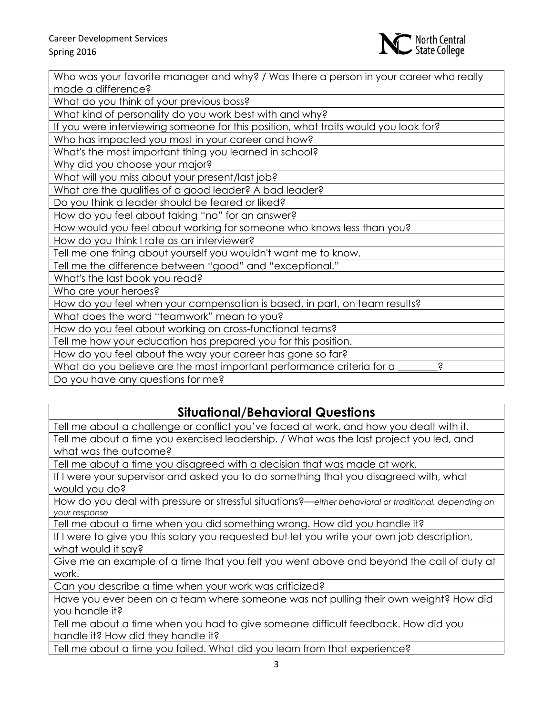

| Who was your favorite manager and why? / Was there a person in your career who really |
|---------------------------------------------------------------------------------------|
| made a difference?                                                                    |
| What do you think of your previous boss?                                              |
| What kind of personality do you work best with and why?                               |
| If you were interviewing someone for this position, what traits would you look for?   |
| Who has impacted you most in your career and how?                                     |
| What's the most important thing you learned in school?                                |
| Why did you choose your major?                                                        |
| What will you miss about your present/last job?                                       |
| What are the qualities of a good leader? A bad leader?                                |
| Do you think a leader should be feared or liked?                                      |
| How do you feel about taking "no" for an answer?                                      |
| How would you feel about working for someone who knows less than you?                 |
| How do you think I rate as an interviewer?                                            |
| Tell me one thing about yourself you wouldn't want me to know.                        |
| Tell me the difference between "good" and "exceptional."                              |
| What's the last book you read?                                                        |
| Who are your heroes?                                                                  |
| How do you feel when your compensation is based, in part, on team results?            |
| What does the word "teamwork" mean to you?                                            |
| How do you feel about working on cross-functional teams?                              |
| Tell me how your education has prepared you for this position.                        |
| How do you feel about the way your career has gone so far?                            |
| What do you believe are the most important performance criteria for a<br>S            |
| Do you have any questions for me?                                                     |

#### **Situational/Behavioral Questions**

Tell me about a challenge or conflict you've faced at work, and how you dealt with it. Tell me about a time you exercised leadership. / What was the last project you led, and what was the outcome?

Tell me about a time you disagreed with a decision that was made at work.

If I were your supervisor and asked you to do something that you disagreed with, what would you do?

How do you deal with pressure or stressful situations?—*either behavioral or traditional, depending on your response*

Tell me about a time when you did something wrong. How did you handle it?

If I were to give you this salary you requested but let you write your own job description, what would it say?

Give me an example of a time that you felt you went above and beyond the call of duty at work.

Can you describe a time when your work was criticized?

Have you ever been on a team where someone was not pulling their own weight? How did you handle it?

Tell me about a time when you had to give someone difficult feedback. How did you handle it? How did they handle it?

Tell me about a time you failed. What did you learn from that experience?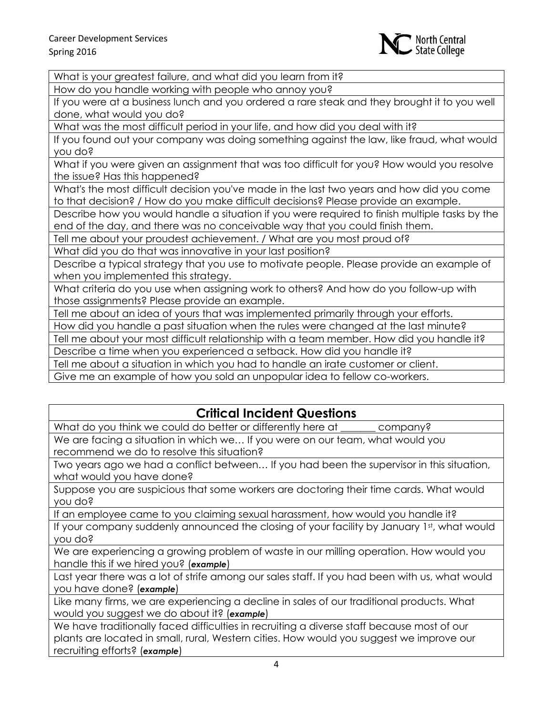

What is your greatest failure, and what did you learn from it?

How do you handle working with people who annoy you?

If you were at a business lunch and you ordered a rare steak and they brought it to you well done, what would you do?

What was the most difficult period in your life, and how did you deal with it?

If you found out your company was doing something against the law, like fraud, what would you do?

What if you were given an assignment that was too difficult for you? How would you resolve the issue? Has this happened?

What's the most difficult decision you've made in the last two years and how did you come to that decision? / How do you make difficult decisions? Please provide an example.

Describe how you would handle a situation if you were required to finish multiple tasks by the end of the day, and there was no conceivable way that you could finish them.

Tell me about your proudest achievement. / What are you most proud of?

What did you do that was innovative in your last position?

Describe a typical strategy that you use to motivate people. Please provide an example of when you implemented this strategy.

What criteria do you use when assigning work to others? And how do you follow-up with those assignments? Please provide an example.

Tell me about an idea of yours that was implemented primarily through your efforts.

How did you handle a past situation when the rules were changed at the last minute?

Tell me about your most difficult relationship with a team member. How did you handle it?

Describe a time when you experienced a setback. How did you handle it?

Tell me about a situation in which you had to handle an irate customer or client.

Give me an example of how you sold an unpopular idea to fellow co-workers.

# **Critical Incident Questions**

What do you think we could do better or differently here at \_\_\_\_\_\_\_ company?

We are facing a situation in which we… If you were on our team, what would you recommend we do to resolve this situation?

Two years ago we had a conflict between… If you had been the supervisor in this situation, what would you have done?

Suppose you are suspicious that some workers are doctoring their time cards. What would you do?

If an employee came to you claiming sexual harassment, how would you handle it?

If your company suddenly announced the closing of your facility by January 1st, what would you do?

We are experiencing a growing problem of waste in our milling operation. How would you handle this if we hired you? (*example*)

Last year there was a lot of strife among our sales staff. If you had been with us, what would you have done? (*example*)

Like many firms, we are experiencing a decline in sales of our traditional products. What would you suggest we do about it? (*example*)

We have traditionally faced difficulties in recruiting a diverse staff because most of our plants are located in small, rural, Western cities. How would you suggest we improve our recruiting efforts? (*example*)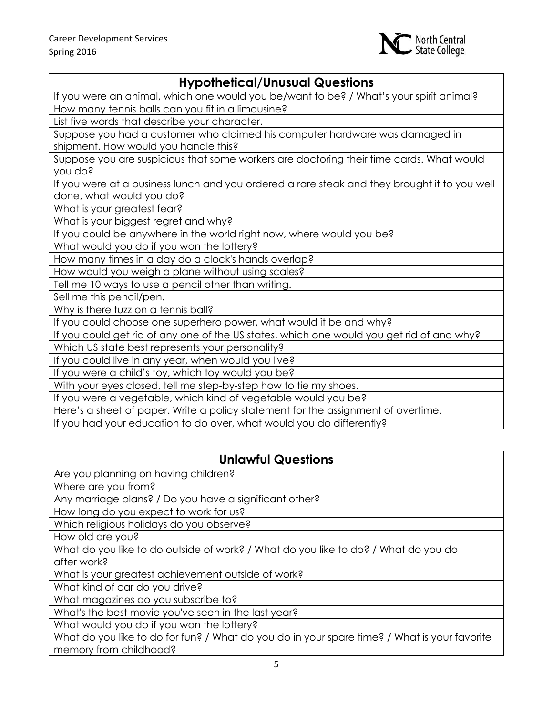

## **Hypothetical/Unusual Questions**

If you were an animal, which one would you be/want to be? / What's your spirit animal?

How many tennis balls can you fit in a limousine?

List five words that describe your character.

Suppose you had a customer who claimed his computer hardware was damaged in shipment. How would you handle this?

Suppose you are suspicious that some workers are doctoring their time cards. What would you do?

If you were at a business lunch and you ordered a rare steak and they brought it to you well done, what would you do?

What is your greatest fear?

What is your biggest regret and why?

If you could be anywhere in the world right now, where would you be?

What would you do if you won the lottery?

How many times in a day do a clock's hands overlap?

How would you weigh a plane without using scales?

Tell me 10 ways to use a pencil other than writing.

Sell me this pencil/pen.

Why is there fuzz on a tennis ball?

If you could choose one superhero power, what would it be and why?

If you could get rid of any one of the US states, which one would you get rid of and why?

Which US state best represents your personality?

If you could live in any year, when would you live?

If you were a child's toy, which toy would you be?

With your eyes closed, tell me step-by-step how to tie my shoes.

If you were a vegetable, which kind of vegetable would you be?

Here's a sheet of paper. Write a policy statement for the assignment of overtime.

If you had your education to do over, what would you do differently?

#### **Unlawful Questions**

Are you planning on having children?

Where are you from?

Any marriage plans? / Do you have a significant other?

How long do you expect to work for us?

Which religious holidays do you observe?

How old are you?

What do you like to do outside of work? / What do you like to do? / What do you do after work?

What is your greatest achievement outside of work?

What kind of car do you drive?

What magazines do you subscribe to?

What's the best movie you've seen in the last year?

What would you do if you won the lottery?

What do you like to do for fun? / What do you do in your spare time? / What is your favorite memory from childhood?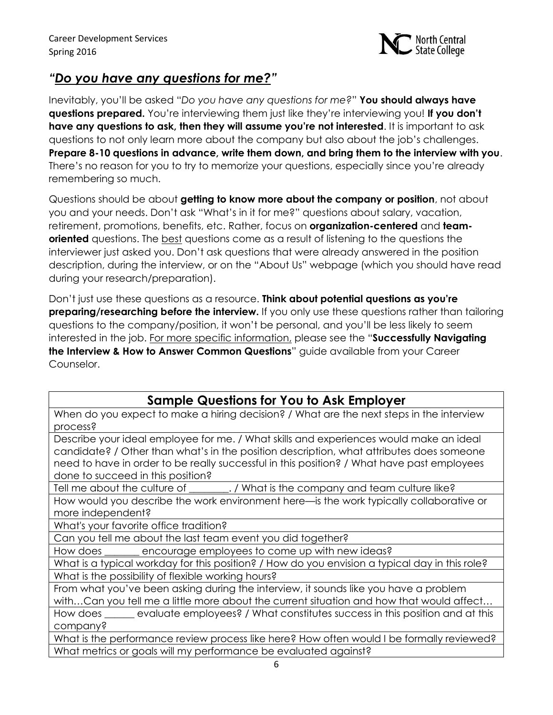

## *"Do you have any questions for me?"*

Inevitably, you'll be asked "*Do you have any questions for me?*" **You should always have questions prepared.** You're interviewing them just like they're interviewing you! **If you don't have any questions to ask, then they will assume you're not interested**. It is important to ask questions to not only learn more about the company but also about the job's challenges. **Prepare 8-10 questions in advance, write them down, and bring them to the interview with you**. There's no reason for you to try to memorize your questions, especially since you're already remembering so much.

Questions should be about **getting to know more about the company or position**, not about you and your needs. Don't ask "What's in it for me?" questions about salary, vacation, retirement, promotions, benefits, etc. Rather, focus on **organization-centered** and **teamoriented** questions. The best questions come as a result of listening to the questions the interviewer just asked you. Don't ask questions that were already answered in the position description, during the interview, or on the "About Us" webpage (which you should have read during your research/preparation).

Don't just use these questions as a resource. **Think about potential questions as you're preparing/researching before the interview.** If you only use these questions rather than tailoring questions to the company/position, it won't be personal, and you'll be less likely to seem interested in the job. For more specific information, please see the "**Successfully Navigating the Interview & How to Answer Common Questions**" guide available from your Career Counselor.

#### **Sample Questions for You to Ask Employer**

When do you expect to make a hiring decision? / What are the next steps in the interview process?

Describe your ideal employee for me. / What skills and experiences would make an ideal candidate? / Other than what's in the position description, what attributes does someone need to have in order to be really successful in this position? / What have past employees done to succeed in this position?

Tell me about the culture of \_\_\_\_\_\_\_\_. / What is the company and team culture like? How would you describe the work environment here—is the work typically collaborative or

more independent?

What's your favorite office tradition?

Can you tell me about the last team event you did together?

How does \_\_\_\_\_\_\_ encourage employees to come up with new ideas?

What is a typical workday for this position? / How do you envision a typical day in this role? What is the possibility of flexible working hours?

From what you've been asking during the interview, it sounds like you have a problem with…Can you tell me a little more about the current situation and how that would affect…

How does \_\_\_\_\_\_ evaluate employees? / What constitutes success in this position and at this company?

What is the performance review process like here? How often would I be formally reviewed? What metrics or goals will my performance be evaluated against?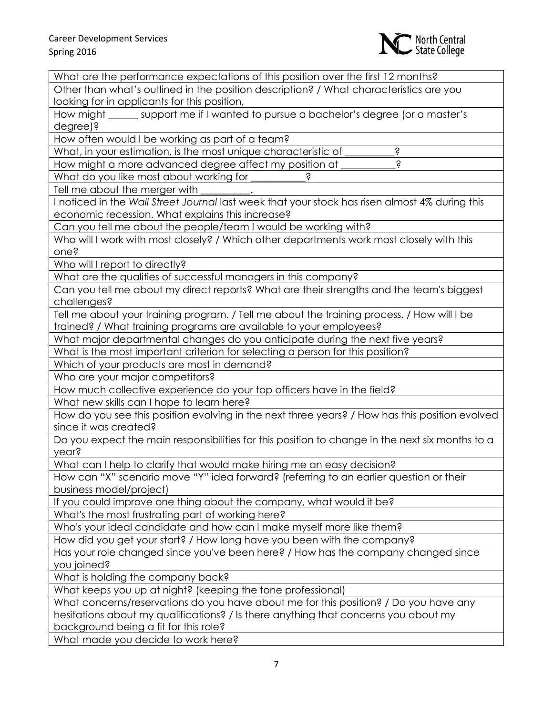

| What are the performance expectations of this position over the first 12 months?                |
|-------------------------------------------------------------------------------------------------|
| Other than what's outlined in the position description? / What characteristics are you          |
| looking for in applicants for this position,                                                    |
| How might ______ support me if I wanted to pursue a bachelor's degree (or a master's            |
| degree)?                                                                                        |
| How often would I be working as part of a team?                                                 |
| Ŝ<br>What, in your estimation, is the most unique characteristic of                             |
| Ś<br>How might a more advanced degree affect my position at                                     |
| What do you like most about working for                                                         |
| Tell me about the merger with                                                                   |
| I noticed in the Wall Street Journal last week that your stock has risen almost 4% during this  |
| economic recession. What explains this increase?                                                |
| Can you tell me about the people/team I would be working with?                                  |
| Who will I work with most closely? / Which other departments work most closely with this        |
| one?                                                                                            |
| Who will I report to directly?                                                                  |
| What are the qualities of successful managers in this company?                                  |
| Can you tell me about my direct reports? What are their strengths and the team's biggest        |
| challenges?                                                                                     |
| Tell me about your training program. / Tell me about the training process. / How will I be      |
| trained? / What training programs are available to your employees?                              |
| What major departmental changes do you anticipate during the next five years?                   |
| What is the most important criterion for selecting a person for this position?                  |
| Which of your products are most in demand?                                                      |
| Who are your major competitors?                                                                 |
| How much collective experience do your top officers have in the field?                          |
| What new skills can I hope to learn here?                                                       |
| How do you see this position evolving in the next three years? / How has this position evolved  |
| since it was created?                                                                           |
| Do you expect the main responsibilities for this position to change in the next six months to a |
| year?                                                                                           |
| What can I help to clarify that would make hiring me an easy decision?                          |
| How can "X" scenario move "Y" idea forward? (referring to an earlier question or their          |
| business model/project)                                                                         |
| If you could improve one thing about the company, what would it be?                             |
| What's the most frustrating part of working here?                                               |
| Who's your ideal candidate and how can I make myself more like them?                            |
| How did you get your start? / How long have you been with the company?                          |
| Has your role changed since you've been here? / How has the company changed since               |
| you joined?                                                                                     |
| What is holding the company back?                                                               |
| What keeps you up at night? (keeping the tone professional)                                     |
| What concerns/reservations do you have about me for this position? / Do you have any            |
| hesitations about my qualifications? / Is there anything that concerns you about my             |
| background being a fit for this role?                                                           |
| What made you decide to work here?                                                              |